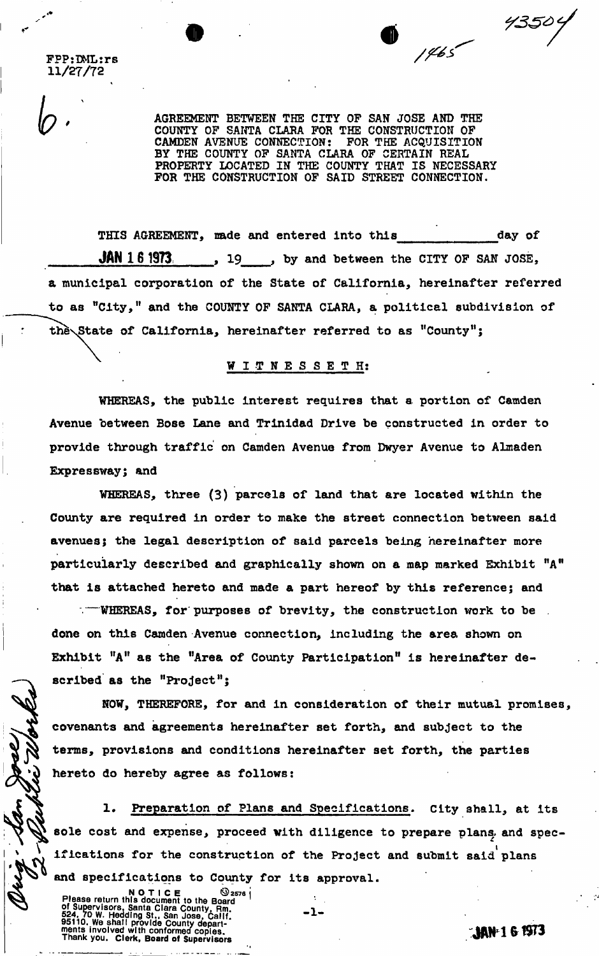**FPPjDMLtrs 11/27/72** 

> **AGREEMENT BETWEEN THE CITY OF SAN JOSE AND THE COUNTY OF SANTA CLARA FOR THE CONSTRUCTION OF CAMDEN AVENUE CONNECTION: FOR THE ACQUISITION COUNTY OP SANTA CLARA FOR THE CONSTRUCTION OP CAMDEN AVENUE CONNECTION: BY THE COUNTY OP SANTA CLARA OF CERTAIN REAL PROPERTY LOCATED IN THE COUNTY THAT IS NECESSARY FOR THE CONSTRUCTION OF SAID STREET CONNECTION.**

**THIS AGREEMENT, made and entered into this day of JAN 1 6 1973 19 , by and between the CITY OF SAN JOSE, a municipal corporation of the State of California, hereinafter referred to as "City," and the COUNTY OF SANTA CLARA, a political subdivision of the\State of California, hereinafter referred to as "County<sup>11</sup>;** 

## **WITNESSETH ;**

**WHEREAS, the public interest requires that a portion of Camden Avenue between Bose Lane and Trinidad Drive be constructed in order to provide through traffic on Camden Avenue from Dwyer Avenue to Almaden Expressway; and** 

**WHEREAS, three (3) parcels of land that are located within the County are required in order to make the street connection between said avenues; the legal description of said parcels being hereinafter more particularly described and graphically shown on a map marked Exhibit "A" that is attached hereto and made a part hereof by this reference; and** 

**—WHEREAS, for purposes of brevity, the construction work to be . done on this Camden Avenue connection, including the area shown on Exhibit "A" as the "Area of County Participation" is hereinafter described as the "Project<sup>11</sup> j** 

**NOW, THEREFORE, for and in consideration of their mutual promises, covenants and agreements hereinafter set forth, and subject to the terms, provisions and conditions hereinafter set forth, the parties hereto do hereby agree as follows:** 

**St 1. Preparation of Plans and Specifications. City shall\* at its**  sole cost and expense, proceed with diligence to prepare plans and specifications for the construction of the Project and submit said plans **and specifications to County for its approval.** 

**1 -**

**NOTICE @2576 j**<br>Please return this document to the Board **divided** Supervisors, Santa Clara County, Rm.  $\begin{array}{c} \hline \text{S} \\ \hline \text{S} \end{array}$ b24, 70 W. Hedding St., San Jose, Calif.<br>95110. We shall provide County depart-<br>ments involved with conformed copies.<br>Thank you. Clerk, Board of Supervisors

**\** 

4350'

 $1465$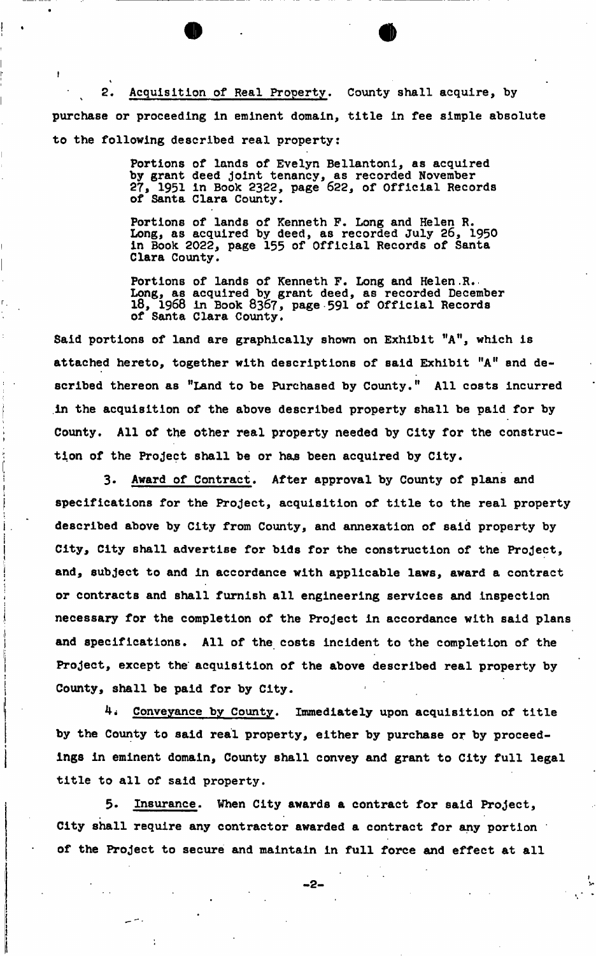2. Acquisition of Real Property. County shall acquire, by purchase or proceeding in eminent domain, title in fee simple absolute to the following described real property:

*<sup>o</sup>* #

 $\vert$ 

i.

**I** 

**1** 

 $\sim$ 

**I" f** 

Portions of lands of Evelyn Bellantoni, as acquired py grant uccu joint tenancy, as recorded november<br>97 1051 in Book 9399, name 699, af Offinial Decembe **by type in DOOR COCC, page OCC, OI OIIICIAI Recor**<br>of Canta Clama County **27, 1961 in Book 232, page 622, page 732, page 732, page 732, page 732, page 732, page 732, page 732** 

**Dortions of lands of You Portions of lands of Kenneth F. Long and Helen R. Long, as acquired by deed, as recorded July 26, 1950 i in Book 2022, page 155 of Official Records of Santa I Clara County.** 

**Portions of lands of Kenneth F. Long and Helen.R. Long, as acquired by grant deed, as recorded December <sup>1</sup> . 18, 1968 in Book 8367, page-591 of Official Records of Santa Clara County.** 

Said portions of land are graphically shown on Exhibit "A", which is **Said portions of land are graphically shown on Exhibit "A", which is attached hereto, together with descriptions of said Exhibit "A" and described thereon as "Land to be Purchased by County." All costs incurred f in the acquisition of the above described property shall be paid for by j County. All of the other real property needed by City for the construc** tion of the Project shall be or has been acquired by City.

**< tion of the Project shall be or hajs been acquired by City.** 

**| 3\* Award of Contract. After approximately by County of Plans and American by County of Plans and American by County of Plans and American by County of Plans and American by County of Plans and American by County of Plan j specifications for the Project, acquisition of title to the real property**  i **described above by City from County, and annexation of said property by j City, City shall advertise for bids for the construction of the Project, j and, subject to and in accordance with applicable laws, award a contract ; or contracts and shall furnish all engineering services and inspection | necessary for the completion of the Project in accordance with said plans**  and specifications. All of the costs incident to the completion of the Project, except the acquisition of the above described real property by **| County, shall be paid for by City.** 

4. **Converse by County of title accuracy with a county of title**  $\mathbf{C}$  **and**  $\mathbf{C}$  **accuracy of title**  $\mathbf{C}$  **actually of title**  $\mathbf{C}$ **by the County to said real property, either by purchase or by proceed**ings in eminent domain, County shall convey and grant to City full legal title to all of said property.

5. Insurance. When City awards a contract for said Project, City shall require any contractor awarded a contract for any portion of the Project to secure and maintain in full force and effect at all

**of the Project to secure and maintain in full force and effect at all** 

*1* 

- 2 - >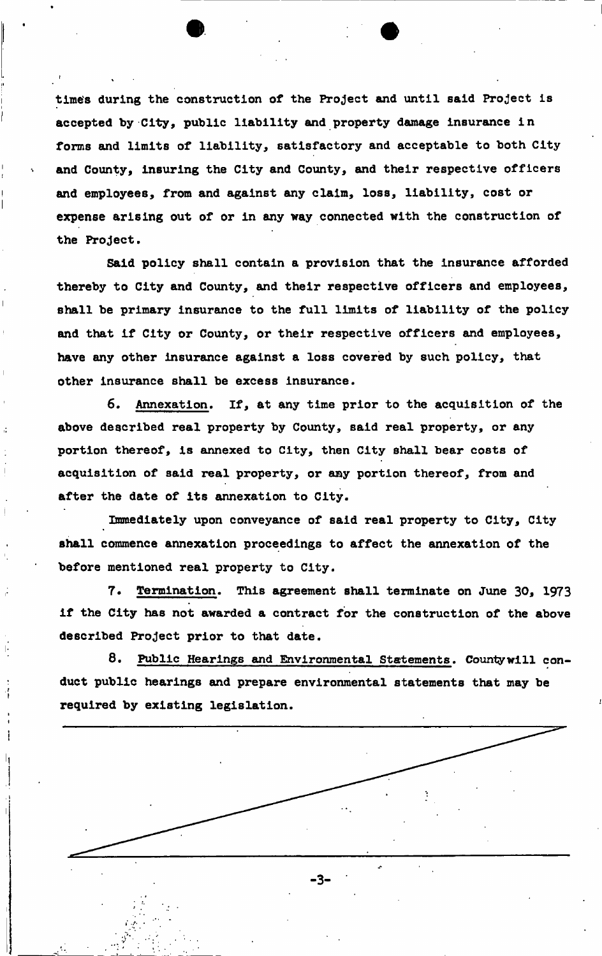**time's during the construction of the Project and until said Project is accepted by City, public liability and property damage insurance in forms and limits of liability, satisfactory and acceptable to both City and County, insuring the City and County, and their respective officers and employees, from and against any claim, loss, liability, cost or expense arising out of or in any way connected with the construction of the Project,** 

**Said policy shall contain a provision that the insurance afforded thereby to City and County, and their respective officers and employees, shall be primary insurance to the full limits of liability of the policy and that if City or County, or their respective officers and employees, have any other insurance against a loss covered by such policy, that other insurance shall be excess insurance.** 

**6. Annexation. If, at any time prior to the acquisition of the above described real property by County, said real property, or any portion thereof, is annexed to City, then City shall bear costs of acquisition of said real property, or any portion thereof, from and after the date of its annexation to City.** 

**Immediately upon conveyance of said real property to City, City shall commence annexation proceedings to affect the annexation of the before mentioned real property to City.** 

**7. Termination. This agreement shall terminate on June 30, 1973 if the City has not awarded a contract for the construction of the above described Project prior to that date.** 

**8. Public Hearings and Environmental Statements. County will conduct public hearings and prepare environmental statements that may be required by existing legislation.** 

-3-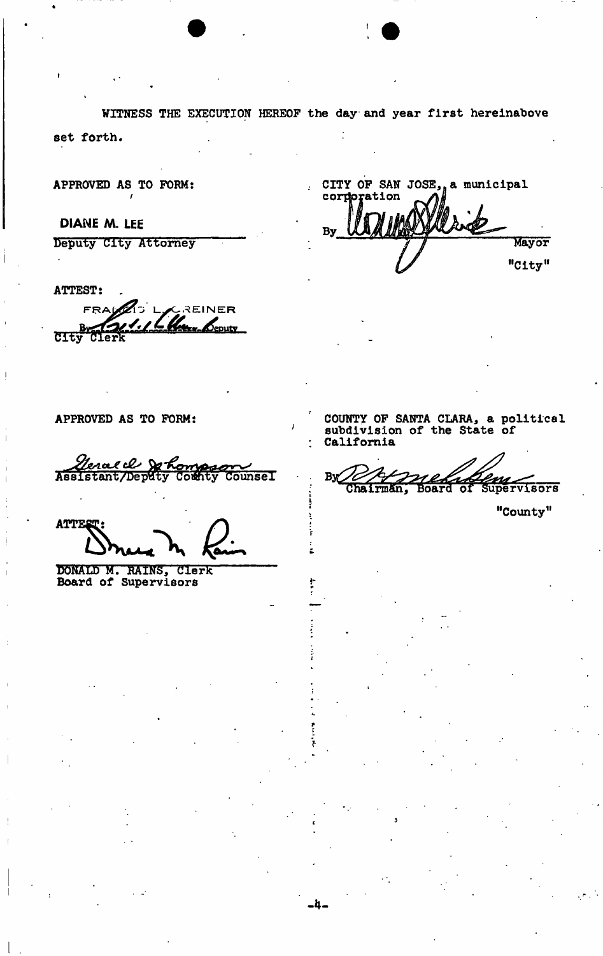WITNESS THE EXECUTION HEREOF the day and year first hereinabove set forth.

 $\overline{1}$ 

APPROVED AS TO FORM:

DIANE M. LEE

Deputy City Attorney

**ATTEST:** 

CREINER FRA Deputy Bu **CITy** Clerk

APPROVED AS TO FORM:

<u>Genae de Sort</u> **Ontol Counsel** 

**ATTEST** 

DONALD M. RAINS, Clerk<br>Board of Supervisors

CITY OF SAN JOSE, a municipal corporation By Mayor "City"

COUNTY OF SANTA CLARA, a political subdivision of the State of California

 $By$ Board of Supervisors Chairman,

"County"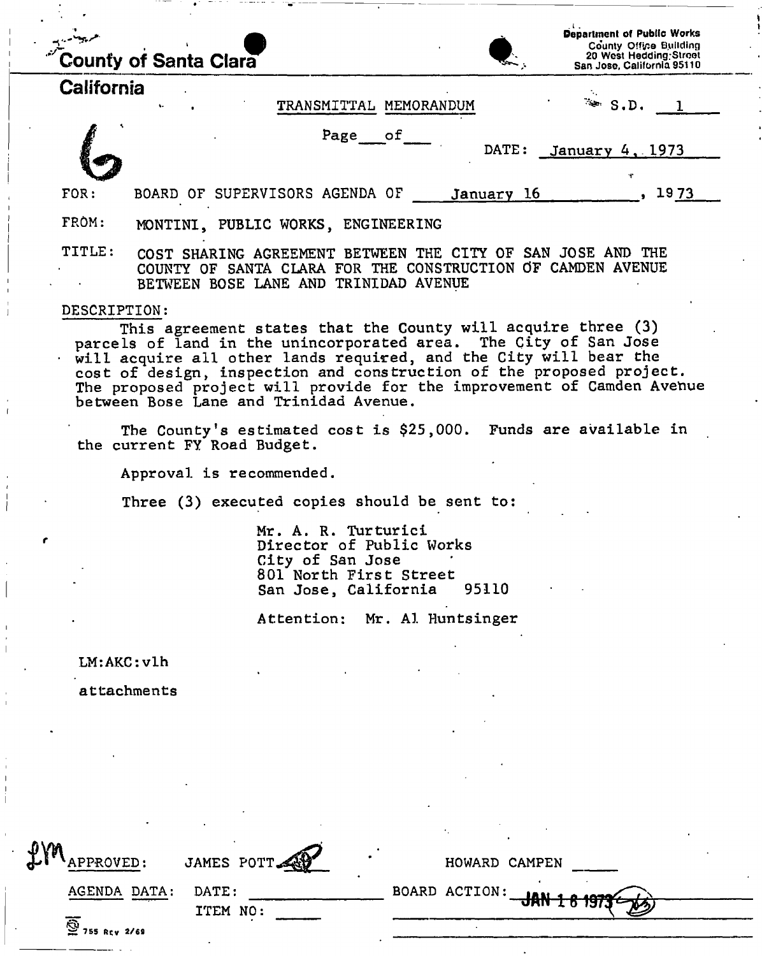|              | <b>County of Santa Clara</b>                                                                                                                                        | <b>Department of Public Works</b><br>County Office Building<br>20 West Hedding Street<br>San Jose, California 95110 |
|--------------|---------------------------------------------------------------------------------------------------------------------------------------------------------------------|---------------------------------------------------------------------------------------------------------------------|
| California   | TRANSMITTAL MEMORANDUM                                                                                                                                              | $\rightarrow$ $S.D.$                                                                                                |
|              |                                                                                                                                                                     |                                                                                                                     |
|              | Page of<br>DATE:                                                                                                                                                    | January 4, 1973                                                                                                     |
|              |                                                                                                                                                                     | ÷                                                                                                                   |
| FOR:         | BOARD OF SUPERVISORS AGENDA OF<br>January 16                                                                                                                        | 1973                                                                                                                |
| FROM:        | MONTINI, PUBLIC WORKS, ENGINEERING                                                                                                                                  |                                                                                                                     |
| TITLE:       | COST SHARING AGREEMENT BETWEEN THE CITY OF SAN JOSE AND THE<br>COUNTY OF SANTA CLARA FOR THE CONSTRUCTION OF CAMDEN AVENUE<br>BETWEEN BOSE LANE AND TRINIDAD AVENUE |                                                                                                                     |
| DESCRIPTION: | This agreement states that the County will acquire three (3)                                                                                                        |                                                                                                                     |

parcels of land in the unincorporated area. The City of San Jose will acquire all other lands required, and the City will bear the cost of design, inspection and construction of the proposed project. The proposed project will provide for the improvement of Camden Avenue between Bose Lane and Trinidad Avenue.

The County's estimated cost is \$25,000. Funds are available in the current FY Road Budget.

Approval is recommended.

Three (3) executed copies should be sent to:

Mr. A. R. Turturici Director of Public Works City of San Jose 801 North First Street<br>San Jose, California 95110 San Jose, California

Attention: Mr. A1 Huntsinger

LM:AKC: vlh

attachments

| $f_{\ell k}$<br>APPROVED:            | JAMES POTT | HOWARD CAMPEN                      |  |
|--------------------------------------|------------|------------------------------------|--|
| AGENDA DATA:                         | DATE:      | $-$ BOARD ACTION: $-$ JAN 1 8 1973 |  |
| $\overline{\mathbf{Q}}$ 755 Rty 2/69 | ITEM NO:   |                                    |  |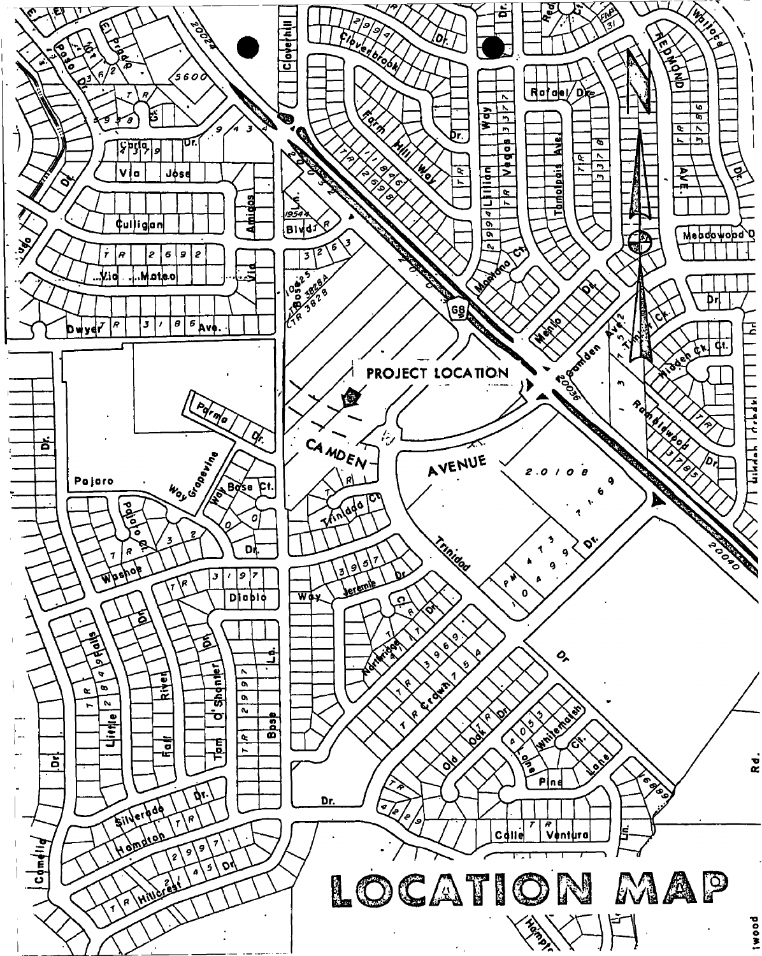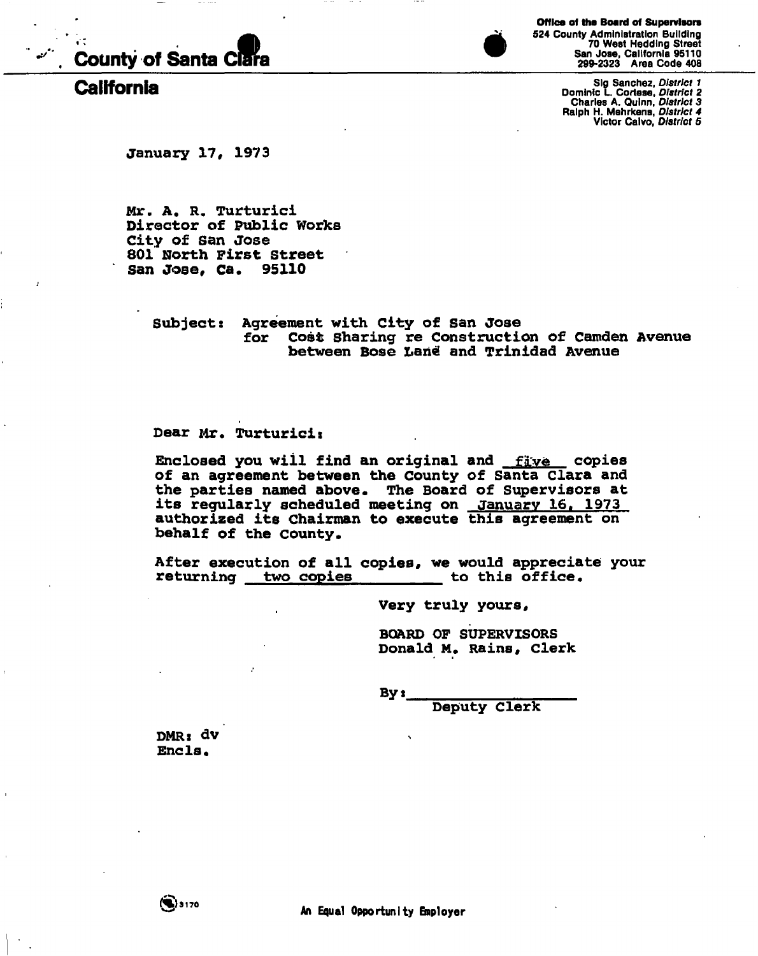

**Office of the Board of Supervisors 524 County Administration Building 70 West Heddlng Street San Jose, California 95110 299-2323 Area Code 408** 

Sig Sanchez, District 1<br>Dominic L. Cortese, District 2<br>California (L. Cortese, District 2<br>Phalph H. Mehrkens, District 3<br>Victor Calvo, District 5

**January 17, 1973** 

**Mr. A. R. Turturici Director of Public Works City of San Jose 801 North First Street San Jose, Ca. 95110** 

> **Subject: Agreement with City of San Jose for Cost Sharing re Construction of Camden Avenue between Bose Lari€ and Trinidad Avenue**

**Dear Mr. Turturici»** 

Enclosed you will find an original and flive copies **of an agreement between the County of Santa Clara and the parties named above. The Board of Supervisors at its regularly scheduled meeting on January 16, 1973 authorized its Chairman to execute this agreement on behalf of the County.** 

**After execution of all copies, we would appreciate your returning two copies** 

**Very truly yours** *\$* 

**BOARD OF SUPERVISORS Donald M. Rains, Clerk** 

**By x** 

**Deputy Clerk** 

**DMRi dv Ends.**